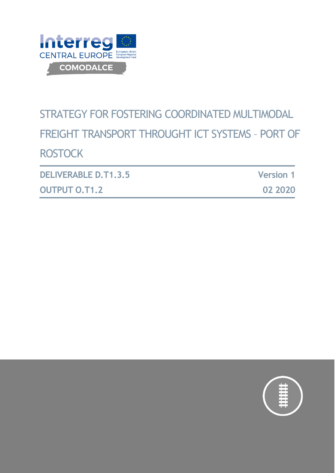

# STRATEGY FOR FOSTERING COORDINATED MULTIMODAL FREIGHT TRANSPORT THROUGHT ICT SYSTEMS – PORT OF **ROSTOCK**

| <b>DELIVERABLE D.T1.3.5</b> | <b>Version 1</b> |
|-----------------------------|------------------|
| <b>OUTPUT O.T1.2</b>        | 02 2020          |

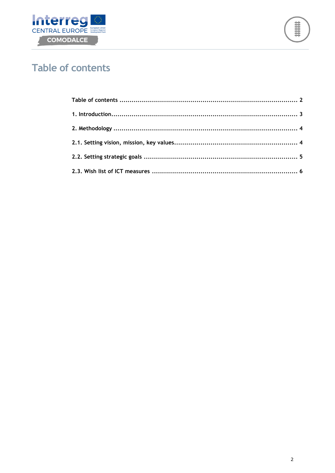



# <span id="page-1-0"></span>**Table of contents**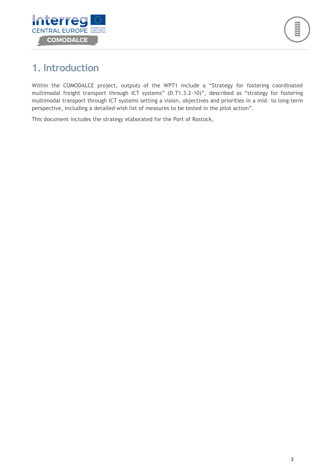

# <span id="page-2-0"></span>**1. Introduction**

Within the COMODALCE project, outputs of the WPT1 include a "Strategy for fostering coordinated multimodal freight transport through ICT systems" (D.T1.3.2-10)", described as "strategy for fostering multimodal transport through ICT systems setting a vision, objectives and priorities in a mid- to long-term perspective, including a detailed wish list of measures to be tested in the pilot action".

This document includes the strategy elaborated for the Port of Rostock,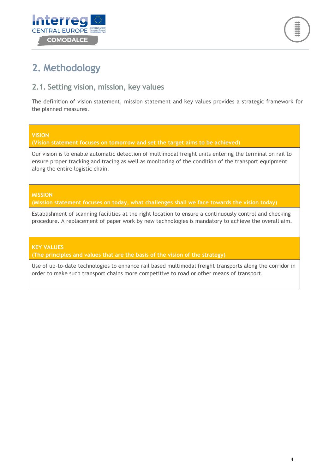



# <span id="page-3-0"></span>**2. Methodology**

### <span id="page-3-1"></span>**2.1. Setting vision, mission, key values**

The definition of vision statement, mission statement and key values provides a strategic framework for the planned measures.

#### **VISION**

**(Vision statement focuses on tomorrow and set the target aims to be achieved)**

Our vision is to enable automatic detection of multimodal freight units entering the terminal on rail to ensure proper tracking and tracing as well as monitoring of the condition of the transport equipment along the entire logistic chain.

#### **MISSION**

**(Mission statement focuses on today, what challenges shall we face towards the vision today)**

Establishment of scanning facilities at the right location to ensure a continuously control and checking procedure. A replacement of paper work by new technologies is mandatory to achieve the overall aim.

#### **KEY VALUES**

**(The principles and values that are the basis of the vision of the strategy)**

Use of up-to-date technologies to enhance rail based multimodal freight transports along the corridor in order to make such transport chains more competitive to road or other means of transport.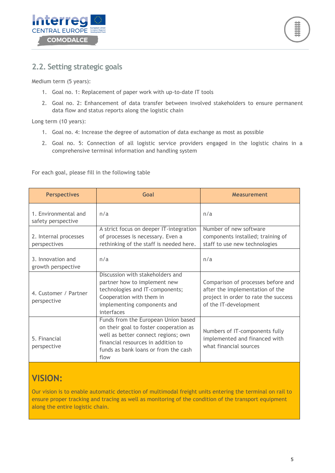



### <span id="page-4-0"></span>**2.2. Setting strategic goals**

Medium term (5 years):

- 1. Goal no. 1: Replacement of paper work with up-to-date IT tools
- 2. Goal no. 2: Enhancement of data transfer between involved stakeholders to ensure permanent data flow and status reports along the logistic chain

Long term (10 years):

- 1. Goal no. 4: Increase the degree of automation of data exchange as most as possible
- 2. Goal no. 5: Connection of all logistic service providers engaged in the logistic chains in a comprehensive terminal information and handling system

For each goal, please fill in the following table

| <b>Perspectives</b>                        | Goal                                                                                                                                                                                                       | <b>Measurement</b>                                                                                                                     |  |
|--------------------------------------------|------------------------------------------------------------------------------------------------------------------------------------------------------------------------------------------------------------|----------------------------------------------------------------------------------------------------------------------------------------|--|
| 1. Environmental and<br>safety perspective | n/a                                                                                                                                                                                                        | n/a                                                                                                                                    |  |
| 2. Internal processes<br>perspectives      | A strict focus on deeper IT-integration<br>of processes is necessary. Even a<br>rethinking of the staff is needed here.                                                                                    | Number of new software<br>components installed; training of<br>staff to use new technologies                                           |  |
| 3. Innovation and<br>growth perspective    | n/a                                                                                                                                                                                                        | n/a                                                                                                                                    |  |
| 4. Customer / Partner<br>perspective       | Discussion with stakeholders and<br>partner how to implement new<br>technologies and IT-components;<br>Cooperation with them in<br>implementing components and<br>interfaces                               | Comparison of processes before and<br>after the implementation of the<br>project in order to rate the success<br>of the IT-development |  |
| 5. Financial<br>perspective                | Funds from the European Union based<br>on their goal to foster cooperation as<br>well as better connect regions; own<br>financial resources in addition to<br>funds as bank loans or from the cash<br>flow | Numbers of IT-components fully<br>implemented and financed with<br>what financial sources                                              |  |

## **VISION:**

Our vision is to enable automatic detection of multimodal freight units entering the terminal on rail to ensure proper tracking and tracing as well as monitoring of the condition of the transport equipment along the entire logistic chain.